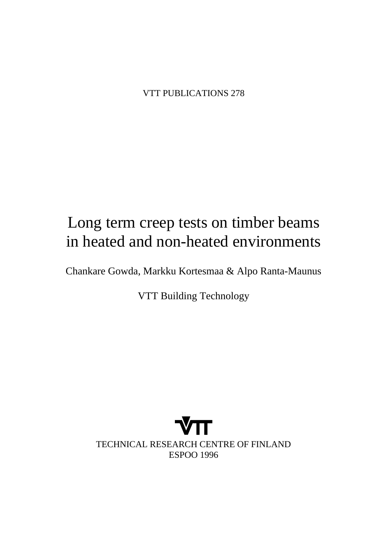VTT PUBLICATIONS 278

# Long term creep tests on timber beams in heated and non-heated environments

Chankare Gowda, Markku Kortesmaa & Alpo Ranta-Maunus

VTT Building Technology

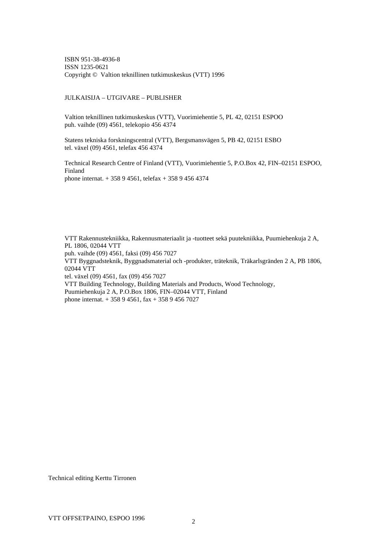ISBN 951-38-4936-8 ISSN 1235-0621 Copyright © Valtion teknillinen tutkimuskeskus (VTT) 1996

#### JULKAISIJA – UTGIVARE – PUBLISHER

Valtion teknillinen tutkimuskeskus (VTT), Vuorimiehentie 5, PL 42, 02151 ESPOO puh. vaihde (09) 4561, telekopio 456 4374

Statens tekniska forskningscentral (VTT), Bergsmansvägen 5, PB 42, 02151 ESBO tel. växel (09) 4561, telefax 456 4374

Technical Research Centre of Finland (VTT), Vuorimiehentie 5, P.O.Box 42, FIN–02151 ESPOO, Finland phone internat. + 358 9 4561, telefax + 358 9 456 4374

VTT Rakennustekniikka, Rakennusmateriaalit ja -tuotteet sekä puutekniikka, Puumiehenkuja 2 A, PL 1806, 02044 VTT puh. vaihde (09) 4561, faksi (09) 456 7027 VTT Byggnadsteknik, Byggnadsmaterial och -produkter, träteknik, Träkarlsgränden 2 A, PB 1806, 02044 VTT tel. växel (09) 4561, fax (09) 456 7027 VTT Building Technology, Building Materials and Products, Wood Technology, Puumiehenkuja 2 A, P.O.Box 1806, FIN–02044 VTT, Finland phone internat. + 358 9 4561, fax + 358 9 456 7027

Technical editing Kerttu Tirronen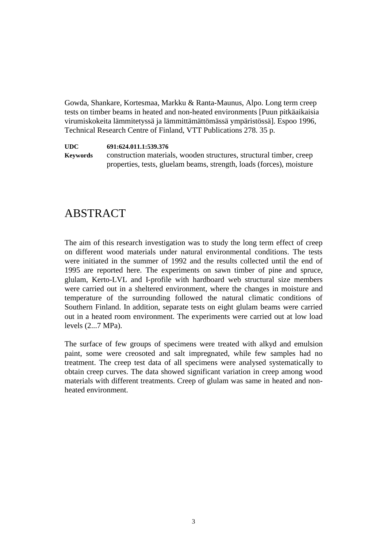Gowda, Shankare, Kortesmaa, Markku & Ranta-Maunus, Alpo. Long term creep tests on timber beams in heated and non-heated environments [Puun pitkäaikaisia virumiskokeita lämmitetyssä ja lämmittämättömässä ympäristössä]. Espoo 1996, Technical Research Centre of Finland, VTT Publications 278. 35 p.

**UDC 691:624.011.1:539.376**

**Keywords** construction materials, wooden structures, structural timber, creep properties, tests, gluelam beams, strength, loads (forces), moisture

## ABSTRACT

The aim of this research investigation was to study the long term effect of creep on different wood materials under natural environmental conditions. The tests were initiated in the summer of 1992 and the results collected until the end of 1995 are reported here. The experiments on sawn timber of pine and spruce, glulam, Kerto-LVL and I-profile with hardboard web structural size members were carried out in a sheltered environment, where the changes in moisture and temperature of the surrounding followed the natural climatic conditions of Southern Finland. In addition, separate tests on eight glulam beams were carried out in a heated room environment. The experiments were carried out at low load levels (2...7 MPa).

The surface of few groups of specimens were treated with alkyd and emulsion paint, some were creosoted and salt impregnated, while few samples had no treatment. The creep test data of all specimens were analysed systematically to obtain creep curves. The data showed significant variation in creep among wood materials with different treatments. Creep of glulam was same in heated and nonheated environment.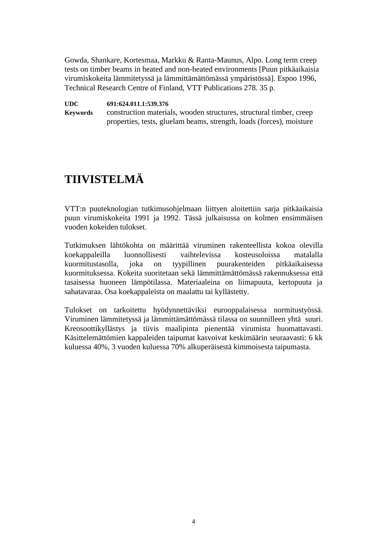Gowda, Shankare, Kortesmaa, Markku & Ranta-Maunus, Alpo. Long term creep tests on timber beams in heated and non-heated environments [Puun pitkäaikaisia virumiskokeita lämmitetyssä ja lämmittämättömässä ympäristössä]. Espoo 1996, Technical Research Centre of Finland, VTT Publications 278. 35 p.

**UDC 691:624.011.1:539.376**

**Keywords** construction materials, wooden structures, structural timber, creep properties, tests, gluelam beams, strength, loads (forces), moisture

## **TIIVISTELMÄ**

VTT:n puuteknologian tutkimusohjelmaan liittyen aloitettiin sarja pitkäaikaisia puun virumiskokeita 1991 ja 1992. Tässä julkaisussa on kolmen ensimmäisen vuoden kokeiden tulokset.

Tutkimuksen lähtökohta on määrittää viruminen rakenteellista kokoa olevilla koekappaleilla luonnollisesti vaihtelevissa kosteusoloissa matalalla kuormitustasolla, joka on tyypillinen puurakenteiden pitkäaikaisessa kuormituksessa. Kokeita suoritetaan sekä lämmittämättömässä rakennuksessa että tasaisessa huoneen lämpötilassa. Materiaaleina on liimapuuta, kertopuuta ja sahatavaraa. Osa koekappaleista on maalattu tai kyllästetty.

Tulokset on tarkoitettu hyödynnettäviksi eurooppalaisessa normitustyössä. Viruminen lämmitetyssä ja lämmittämättömässä tilassa on suunnilleen yhtä suuri. Kreosoottikyllästys ja tiivis maalipinta pienentää virumista huomattavasti. Käsittelemättömien kappaleiden taipumat kasvoivat keskimäärin seuraavasti: 6 kk kuluessa 40%, 3 vuoden kuluessa 70% alkuperäisestä kimmoisesta taipumasta.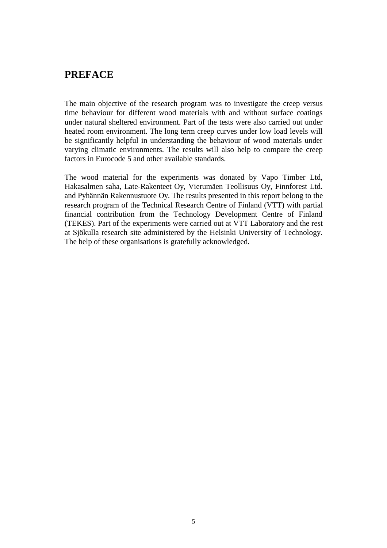### **PREFACE**

The main objective of the research program was to investigate the creep versus time behaviour for different wood materials with and without surface coatings under natural sheltered environment. Part of the tests were also carried out under heated room environment. The long term creep curves under low load levels will be significantly helpful in understanding the behaviour of wood materials under varying climatic environments. The results will also help to compare the creep factors in Eurocode 5 and other available standards.

The wood material for the experiments was donated by Vapo Timber Ltd, Hakasalmen saha, Late-Rakenteet Oy, Vierumäen Teollisuus Oy, Finnforest Ltd. and Pyhännän Rakennustuote Oy. The results presented in this report belong to the research program of the Technical Research Centre of Finland (VTT) with partial financial contribution from the Technology Development Centre of Finland (TEKES). Part of the experiments were carried out at VTT Laboratory and the rest at Sjökulla research site administered by the Helsinki University of Technology. The help of these organisations is gratefully acknowledged.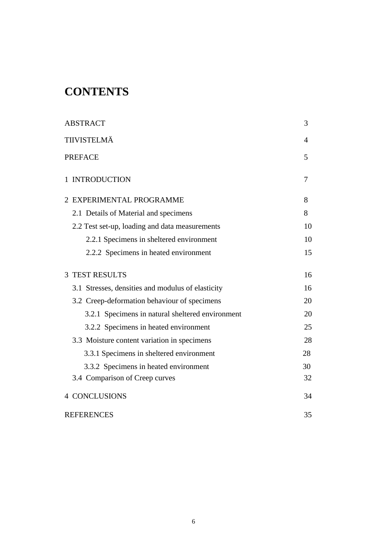## **CONTENTS**

| <b>ABSTRACT</b>                                   | 3  |
|---------------------------------------------------|----|
| TIIVISTELMÄ                                       | 4  |
| <b>PREFACE</b>                                    | 5  |
| 1 INTRODUCTION                                    | 7  |
| 2 EXPERIMENTAL PROGRAMME                          | 8  |
| 2.1 Details of Material and specimens             | 8  |
| 2.2 Test set-up, loading and data measurements    | 10 |
| 2.2.1 Specimens in sheltered environment          | 10 |
| 2.2.2 Specimens in heated environment             | 15 |
| <b>3 TEST RESULTS</b>                             | 16 |
| 3.1 Stresses, densities and modulus of elasticity | 16 |
| 3.2 Creep-deformation behaviour of specimens      | 20 |
| 3.2.1 Specimens in natural sheltered environment  | 20 |
| 3.2.2 Specimens in heated environment             | 25 |
| 3.3 Moisture content variation in specimens       | 28 |
| 3.3.1 Specimens in sheltered environment          | 28 |
| 3.3.2 Specimens in heated environment             | 30 |
| 3.4 Comparison of Creep curves                    | 32 |
| <b>4 CONCLUSIONS</b>                              | 34 |
| <b>REFERENCES</b>                                 | 35 |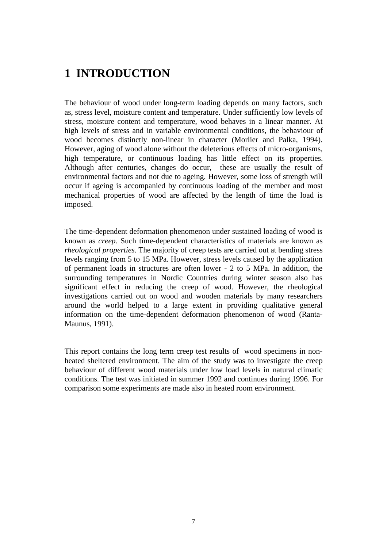## **1 INTRODUCTION**

The behaviour of wood under long-term loading depends on many factors, such as, stress level, moisture content and temperature. Under sufficiently low levels of stress, moisture content and temperature, wood behaves in a linear manner. At high levels of stress and in variable environmental conditions, the behaviour of wood becomes distinctly non-linear in character (Morlier and Palka, 1994). However, aging of wood alone without the deleterious effects of micro-organisms, high temperature, or continuous loading has little effect on its properties. Although after centuries, changes do occur, these are usually the result of environmental factors and not due to ageing. However, some loss of strength will occur if ageing is accompanied by continuous loading of the member and most mechanical properties of wood are affected by the length of time the load is imposed.

The time-dependent deformation phenomenon under sustained loading of wood is known as *creep*. Such time-dependent characteristics of materials are known as *rheological properties*. The majority of creep tests are carried out at bending stress levels ranging from 5 to 15 MPa. However, stress levels caused by the application of permanent loads in structures are often lower - 2 to 5 MPa. In addition, the surrounding temperatures in Nordic Countries during winter season also has significant effect in reducing the creep of wood. However, the rheological investigations carried out on wood and wooden materials by many researchers around the world helped to a large extent in providing qualitative general information on the time-dependent deformation phenomenon of wood (Ranta-Maunus, 1991).

This report contains the long term creep test results of wood specimens in nonheated sheltered environment. The aim of the study was to investigate the creep behaviour of different wood materials under low load levels in natural climatic conditions. The test was initiated in summer 1992 and continues during 1996. For comparison some experiments are made also in heated room environment.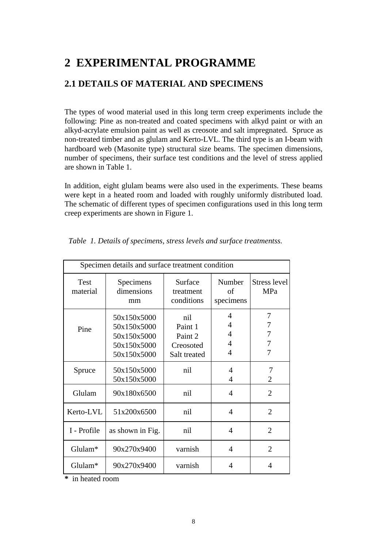## **2 EXPERIMENTAL PROGRAMME**

### **2.1 DETAILS OF MATERIAL AND SPECIMENS**

The types of wood material used in this long term creep experiments include the following: Pine as non-treated and coated specimens with alkyd paint or with an alkyd-acrylate emulsion paint as well as creosote and salt impregnated. Spruce as non-treated timber and as glulam and Kerto-LVL. The third type is an I-beam with hardboard web (Masonite type) structural size beams. The specimen dimensions, number of specimens, their surface test conditions and the level of stress applied are shown in Table 1.

In addition, eight glulam beams were also used in the experiments. These beams were kept in a heated room and loaded with roughly uniformly distributed load. The schematic of different types of specimen configurations used in this long term creep experiments are shown in Figure 1.

| Specimen details and surface treatment condition |                                                                         |                                                        |                           |                       |
|--------------------------------------------------|-------------------------------------------------------------------------|--------------------------------------------------------|---------------------------|-----------------------|
| <b>Test</b><br>material                          | Specimens<br>dimensions<br>mm                                           | Surface<br>treatment<br>conditions                     | Number<br>of<br>specimens | Stress level<br>MPa   |
| Pine                                             | 50x150x5000<br>50x150x5000<br>50x150x5000<br>50x150x5000<br>50x150x5000 | nil<br>Paint 1<br>Paint 2<br>Creosoted<br>Salt treated | 4<br>4<br>4<br>4<br>4     | 7<br>7<br>7<br>7<br>7 |
| Spruce                                           | 50x150x5000<br>50x150x5000                                              | nil                                                    | 4<br>4                    | 7<br>$\overline{2}$   |
| Glulam                                           | 90x180x6500                                                             | nil                                                    | 4                         | 2                     |
| Kerto-LVL                                        | 51x200x6500                                                             | nil                                                    | $\overline{4}$            | $\overline{2}$        |
| I - Profile                                      | as shown in Fig.                                                        | nil                                                    | 4                         | $\overline{2}$        |
| Glulam*                                          | 90x270x9400                                                             | varnish                                                | 4                         | $\overline{2}$        |
| Glulam*                                          | 90x270x9400                                                             | varnish                                                | 4                         | 4                     |

 *Table 1. Details of specimens, stress levels and surface treatmentss.*

**\*** in heated room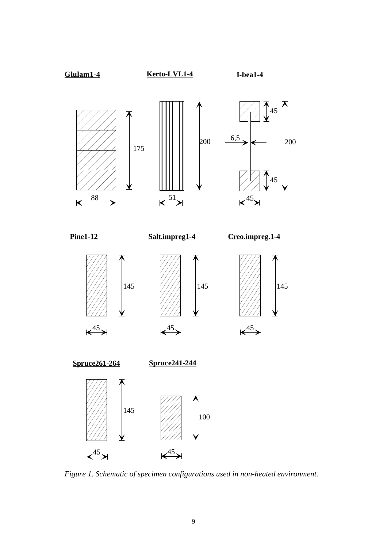

*Figure 1. Schematic of specimen configurations used in non-heated environment.*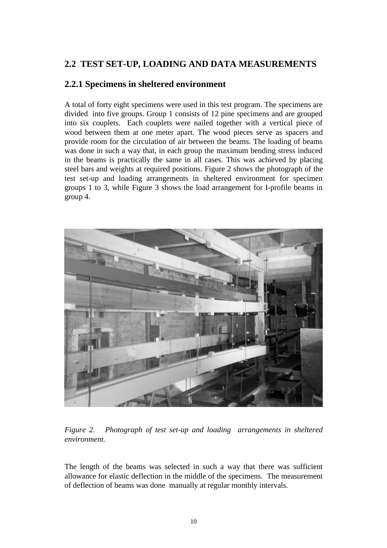### **2.2 TEST SET-UP, LOADING AND DATA MEASUREMENTS**

### **2.2.1 Specimens in sheltered environment**

A total of forty eight specimens were used in this test program. The specimens are divided into five groups. Group 1 consists of 12 pine specimens and are grouped into six couplets. Each couplets were nailed together with a vertical piece of wood between them at one meter apart. The wood pieces serve as spacers and provide room for the circulation of air between the beams. The loading of beams was done in such a way that, in each group the maximum bending stress induced in the beams is practically the same in all cases. This was achieved by placing steel bars and weights at required positions. Figure 2 shows the photograph of the test set-up and loading arrangements in sheltered environment for specimen groups 1 to 3, while Figure 3 shows the load arrangement for I-profile beams in group 4.



*Figure 2. Photograph of test set-up and loading arrangements in sheltered environment.*

The length of the beams was selected in such a way that there was sufficient allowance for elastic deflection in the middle of the specimens. The measurement of deflection of beams was done manually at regular monthly intervals.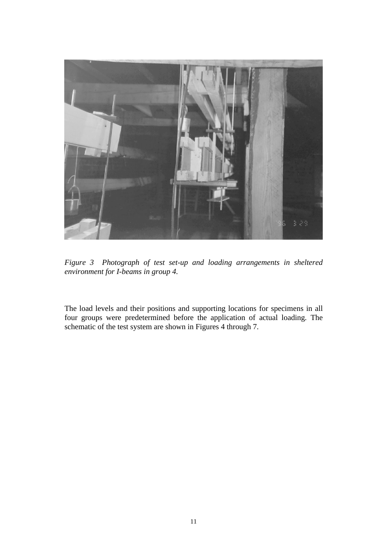

*Figure 3 Photograph of test set-up and loading arrangements in sheltered environment for I-beams in group 4.*

The load levels and their positions and supporting locations for specimens in all four groups were predetermined before the application of actual loading. The schematic of the test system are shown in Figures 4 through 7.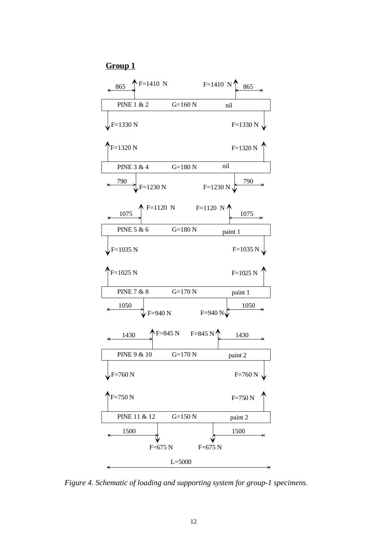#### **Group 1**



*Figure 4. Schematic of loading and supporting system for group-1 specimens.*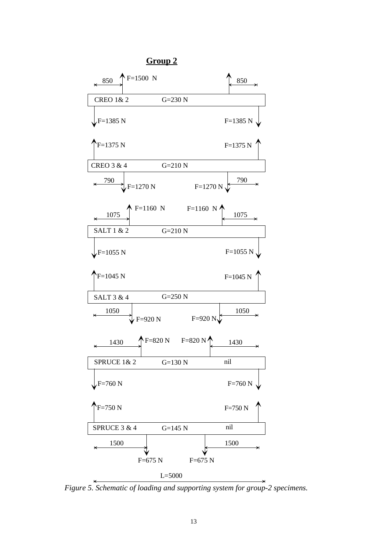

*Figure 5. Schematic of loading and supporting system for group-2 specimens.*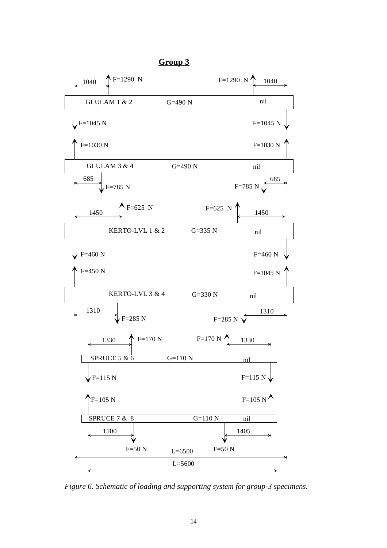

*Figure 6. Schematic of loading and supporting system for group-3 specimens.*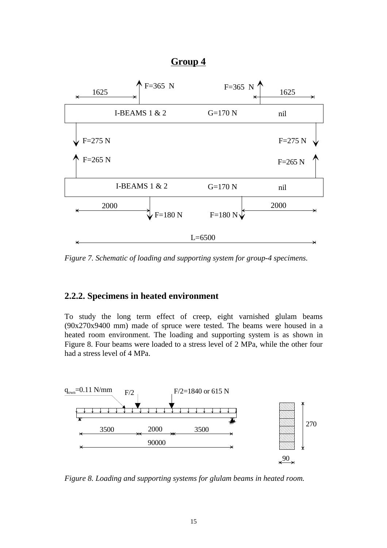### **Group 4**



*Figure 7. Schematic of loading and supporting system for group-4 specimens.*

#### **2.2.2. Specimens in heated environment**

To study the long term effect of creep, eight varnished glulam beams (90x270x9400 mm) made of spruce were tested. The beams were housed in a heated room environment. The loading and supporting system is as shown in Figure 8. Four beams were loaded to a stress level of 2 MPa, while the other four had a stress level of 4 MPa.



*Figure 8. Loading and supporting systems for glulam beams in heated room.*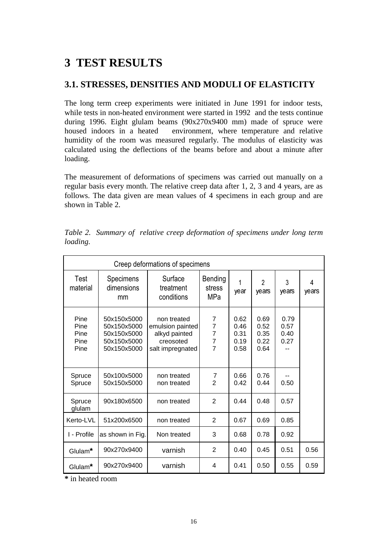## **3 TEST RESULTS**

### **3.1. STRESSES, DENSITIES AND MODULI OF ELASTICITY**

The long term creep experiments were initiated in June 1991 for indoor tests, while tests in non-heated environment were started in 1992 and the tests continue during 1996. Eight glulam beams (90x270x9400 mm) made of spruce were housed indoors in a heated environment, where temperature and relative humidity of the room was measured regularly. The modulus of elasticity was calculated using the deflections of the beams before and about a minute after loading.

The measurement of deformations of specimens was carried out manually on a regular basis every month. The relative creep data after 1, 2, 3 and 4 years, are as follows. The data given are mean values of 4 specimens in each group and are shown in Table 2.

| Creep deformations of specimens      |                                                                         |                                                                                   |                                                                           |                                      |                                      |                              |            |
|--------------------------------------|-------------------------------------------------------------------------|-----------------------------------------------------------------------------------|---------------------------------------------------------------------------|--------------------------------------|--------------------------------------|------------------------------|------------|
| Test<br>material                     | Specimens<br>dimensions<br>mm                                           | Surface<br>treatment<br>conditions                                                | Bending<br>stress<br>MPa                                                  | 1<br>year                            | $\overline{2}$<br>years              | 3<br>years                   | 4<br>years |
| Pine<br>Pine<br>Pine<br>Pine<br>Pine | 50x150x5000<br>50x150x5000<br>50x150x5000<br>50x150x5000<br>50x150x5000 | non treated<br>emulsion painted<br>alkyd painted<br>creosoted<br>salt impregnated | 7<br>$\overline{7}$<br>$\overline{7}$<br>$\overline{7}$<br>$\overline{7}$ | 0.62<br>0.46<br>0.31<br>0.19<br>0.58 | 0.69<br>0.52<br>0.35<br>0.22<br>0.64 | 0.79<br>0.57<br>0.40<br>0.27 |            |
| Spruce<br>Spruce                     | 50x100x5000<br>50x150x5000                                              | non treated<br>non treated                                                        | 7<br>$\overline{2}$                                                       | 0.66<br>0.42                         | 0.76<br>0.44                         | 0.50                         |            |
| Spruce<br>glulam                     | 90x180x6500                                                             | non treated                                                                       | $\overline{2}$                                                            | 0.44                                 | 0.48                                 | 0.57                         |            |
| Kerto-LVL                            | 51x200x6500                                                             | non treated                                                                       | $\overline{2}$                                                            | 0.67                                 | 0.69                                 | 0.85                         |            |
| I - Profile                          | as shown in Fig.                                                        | Non treated                                                                       | 3                                                                         | 0.68                                 | 0.78                                 | 0.92                         |            |
| Glulam*                              | 90x270x9400                                                             | varnish                                                                           | $\overline{2}$                                                            | 0.40                                 | 0.45                                 | 0.51                         | 0.56       |
| Glulam*                              | 90x270x9400                                                             | varnish                                                                           | 4                                                                         | 0.41                                 | 0.50                                 | 0.55                         | 0.59       |

*Table 2. Summary of relative creep deformation of specimens under long term loading.*

**\*** in heated room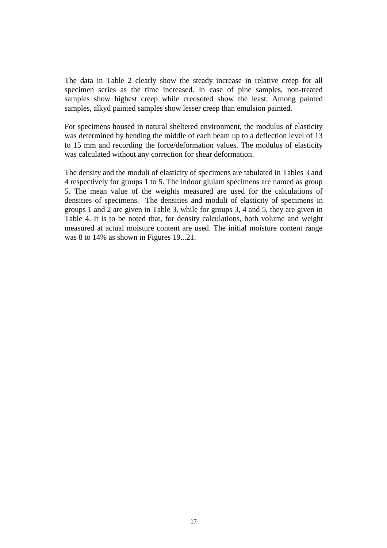The data in Table 2 clearly show the steady increase in relative creep for all specimen series as the time increased. In case of pine samples, non-treated samples show highest creep while creosoted show the least. Among painted samples, alkyd painted samples show lesser creep than emulsion painted.

For specimens housed in natural sheltered environment, the modulus of elasticity was determined by bending the middle of each beam up to a deflection level of 13 to 15 mm and recording the force/deformation values. The modulus of elasticity was calculated without any correction for shear deformation.

The density and the moduli of elasticity of specimens are tabulated in Tables 3 and 4 respectively for groups 1 to 5. The indoor glulam specimens are named as group 5. The mean value of the weights measured are used for the calculations of densities of specimens. The densities and moduli of elasticity of specimens in groups 1 and 2 are given in Table 3, while for groups 3, 4 and 5, they are given in Table 4. It is to be noted that, for density calculations, both volume and weight measured at actual moisture content are used. The initial moisture content range was 8 to 14% as shown in Figures 19...21.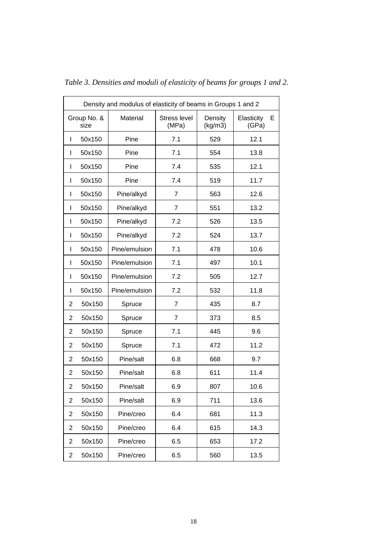| Density and modulus of elasticity of beams in Groups 1 and 2 |                     |               |                              |                    |                          |
|--------------------------------------------------------------|---------------------|---------------|------------------------------|--------------------|--------------------------|
|                                                              | Group No. &<br>size | Material      | <b>Stress level</b><br>(MPa) | Density<br>(kg/m3) | Elasticity<br>Е<br>(GPa) |
| L                                                            | 50x150              | Pine          | 7.1                          | 529                | 12.1                     |
| $\mathbf{I}$                                                 | 50x150              | Pine          | 7.1                          | 554                | 13.8                     |
| L                                                            | 50x150              | Pine          | 7.4                          | 535                | 12.1                     |
| L                                                            | 50x150              | Pine          | 7.4                          | 519                | 11.7                     |
| L                                                            | 50x150              | Pine/alkyd    | $\overline{7}$               | 563                | 12.6                     |
| L                                                            | 50x150              | Pine/alkyd    | $\overline{7}$               | 551                | 13.2                     |
| L                                                            | 50x150              | Pine/alkyd    | 7.2                          | 526                | 13.5                     |
| L                                                            | 50x150              | Pine/alkyd    | 7.2                          | 524                | 13.7                     |
| L                                                            | 50x150              | Pine/emulsion | 7.1                          | 478                | 10.6                     |
| L                                                            | 50x150              | Pine/emulsion | 7.1                          | 497                | 10.1                     |
| L                                                            | 50x150              | Pine/emulsion | 7.2                          | 505                | 12.7                     |
| I                                                            | 50x150              | Pine/emulsion | 7.2                          | 532                | 11.8                     |
| 2                                                            | 50x150              | Spruce        | $\overline{7}$               | 435                | 8.7                      |
| $\overline{2}$                                               | 50x150              | Spruce        | $\overline{7}$               | 373                | 8.5                      |
| $\overline{2}$                                               | 50x150              | Spruce        | 7.1                          | 445                | 9.6                      |
| $\overline{2}$                                               | 50x150              | Spruce        | 7.1                          | 472                | 11.2                     |
| $\overline{2}$                                               | 50x150              | Pine/salt     | 6.8                          | 668                | 9.7                      |
| $\overline{2}$                                               | 50x150              | Pine/salt     | 6.8                          | 611                | 11.4                     |
| 2                                                            | 50x150              | Pine/salt     | 6.9                          | 807                | 10.6                     |
| $\overline{2}$                                               | 50x150              | Pine/salt     | 6.9                          | 711                | 13.6                     |
| $\overline{2}$                                               | 50x150              | Pine/creo     | 6.4                          | 681                | 11.3                     |
| $\overline{2}$                                               | 50x150              | Pine/creo     | 6.4                          | 615                | 14.3                     |
| $\overline{2}$                                               | 50x150              | Pine/creo     | 6.5                          | 653                | 17.2                     |
| $\overline{2}$                                               | 50x150              | Pine/creo     | 6.5                          | 560                | 13.5                     |
|                                                              |                     |               |                              |                    |                          |

*Table 3. Densities and moduli of elasticity of beams for groups 1 and 2.*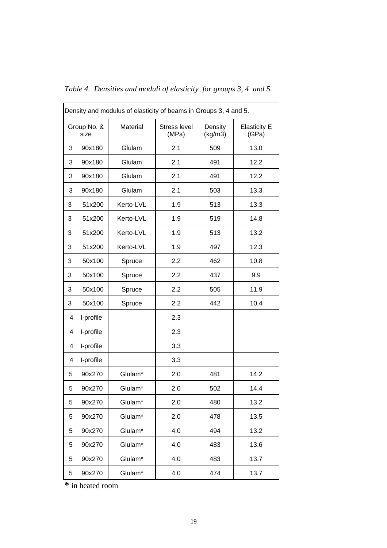|   | Density and modulus of elasticity of beams in Groups 3, 4 and 5. |           |                              |                    |                              |
|---|------------------------------------------------------------------|-----------|------------------------------|--------------------|------------------------------|
|   | Group No. &<br>size                                              | Material  | <b>Stress level</b><br>(MPa) | Density<br>(kg/m3) | <b>Elasticity E</b><br>(GPa) |
| 3 | 90x180                                                           | Glulam    | 2.1                          | 509                | 13.0                         |
| 3 | 90x180                                                           | Glulam    | 2.1                          | 491                | 12.2                         |
| 3 | 90x180                                                           | Glulam    | 2.1                          | 491                | 12.2                         |
| 3 | 90x180                                                           | Glulam    | 2.1                          | 503                | 13.3                         |
| 3 | 51x200                                                           | Kerto-LVL | 1.9                          | 513                | 13.3                         |
| 3 | 51x200                                                           | Kerto-LVL | 1.9                          | 519                | 14.8                         |
| 3 | 51x200                                                           | Kerto-LVL | 1.9                          | 513                | 13.2                         |
| 3 | 51x200                                                           | Kerto-LVL | 1.9                          | 497                | 12.3                         |
| 3 | 50x100                                                           | Spruce    | 2.2                          | 462                | 10.8                         |
| 3 | 50x100                                                           | Spruce    | 2.2                          | 437                | 9.9                          |
| 3 | 50x100                                                           | Spruce    | 2.2                          | 505                | 11.9                         |
| 3 | 50x100                                                           | Spruce    | 2.2                          | 442                | 10.4                         |
| 4 | I-profile                                                        |           | 2.3                          |                    |                              |
| 4 | I-profile                                                        |           | 2.3                          |                    |                              |
| 4 | I-profile                                                        |           | 3.3                          |                    |                              |
| 4 | I-profile                                                        |           | 3.3                          |                    |                              |
| 5 | 90x270                                                           | Glulam*   | 2.0                          | 481                | 14.2                         |
| 5 | 90x270                                                           | Glulam*   | 2.0                          | 502                | 14.4                         |
| 5 | 90x270                                                           | Glulam*   | 2.0                          | 480                | 13.2                         |
| 5 | 90x270                                                           | Glulam*   | 2.0                          | 478                | 13.5                         |
| 5 | 90x270                                                           | Glulam*   | 4.0                          | 494                | 13.2                         |
| 5 | 90x270                                                           | Glulam*   | 4.0                          | 483                | 13.6                         |
| 5 | 90x270                                                           | Glulam*   | 4.0                          | 483                | 13.7                         |
| 5 | 90x270                                                           | Glulam*   | 4.0                          | 474                | 13.7                         |

*Table 4. Densities and moduli of elasticity for groups 3, 4 and 5.*

**\*** in heated room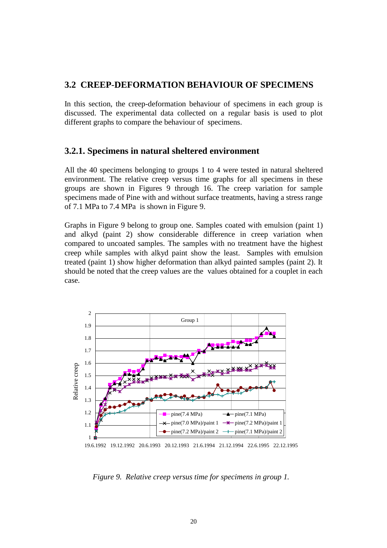#### **3.2 CREEP**-**DEFORMATION BEHAVIOUR OF SPECIMENS**

In this section, the creep-deformation behaviour of specimens in each group is discussed. The experimental data collected on a regular basis is used to plot different graphs to compare the behaviour of specimens.

#### **3.2.1. Specimens in natural sheltered environment**

All the 40 specimens belonging to groups 1 to 4 were tested in natural sheltered environment. The relative creep versus time graphs for all specimens in these groups are shown in Figures 9 through 16. The creep variation for sample specimens made of Pine with and without surface treatments, having a stress range of 7.1 MPa to 7.4 MPa is shown in Figure 9.

Graphs in Figure 9 belong to group one. Samples coated with emulsion (paint 1) and alkyd (paint 2) show considerable difference in creep variation when compared to uncoated samples. The samples with no treatment have the highest creep while samples with alkyd paint show the least. Samples with emulsion treated (paint 1) show higher deformation than alkyd painted samples (paint 2). It should be noted that the creep values are the values obtained for a couplet in each case.



19.6.1992 19.12.1992 20.6.1993 20.12.1993 21.6.1994 21.12.1994 22.6.1995 22.12.1995

*Figure 9. Relative creep versus time for specimens in group 1.*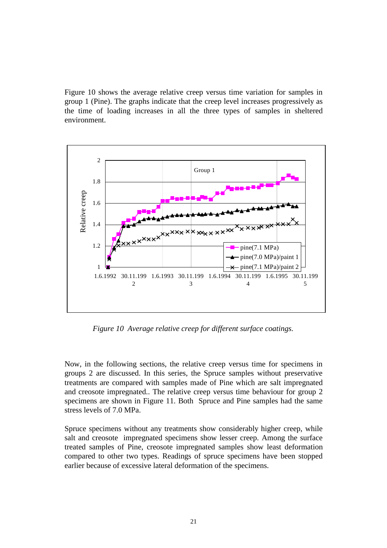Figure 10 shows the average relative creep versus time variation for samples in group 1 (Pine). The graphs indicate that the creep level increases progressively as the time of loading increases in all the three types of samples in sheltered environment.



*Figure 10 Average relative creep for different surface coatings.*

Now, in the following sections, the relative creep versus time for specimens in groups 2 are discussed. In this series, the Spruce samples without preservative treatments are compared with samples made of Pine which are salt impregnated and creosote impregnated.. The relative creep versus time behaviour for group 2 specimens are shown in Figure 11. Both Spruce and Pine samples had the same stress levels of 7.0 MPa.

Spruce specimens without any treatments show considerably higher creep, while salt and creosote impregnated specimens show lesser creep. Among the surface treated samples of Pine, creosote impregnated samples show least deformation compared to other two types. Readings of spruce specimens have been stopped earlier because of excessive lateral deformation of the specimens.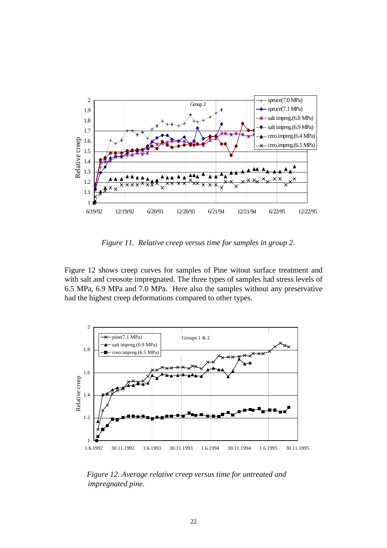

*Figure 11. Relative creep versus time for samples in group 2.*

Figure 12 shows creep curves for samples of Pine witout surface treatment and with salt and creosote impregnated. The three types of samples had stress levels of 6.5 MPa, 6.9 MPa and 7.0 MPa. Here also the samples without any preservative had the highest creep deformations compared to other types.



 *Figure 12. Average relative creep versus time for untreated and impregnated pine.*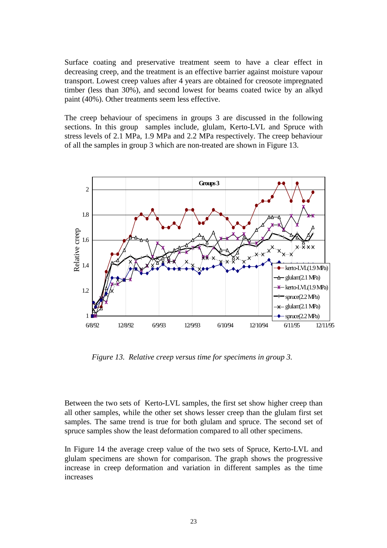Surface coating and preservative treatment seem to have a clear effect in decreasing creep, and the treatment is an effective barrier against moisture vapour transport. Lowest creep values after 4 years are obtained for creosote impregnated timber (less than 30%), and second lowest for beams coated twice by an alkyd paint (40%). Other treatments seem less effective.

The creep behaviour of specimens in groups 3 are discussed in the following sections. In this group samples include, glulam, Kerto-LVL and Spruce with stress levels of 2.1 MPa, 1.9 MPa and 2.2 MPa respectively. The creep behaviour of all the samples in group 3 which are non-treated are shown in Figure 13.



*Figure 13. Relative creep versus time for specimens in group 3.*

Between the two sets of Kerto-LVL samples, the first set show higher creep than all other samples, while the other set shows lesser creep than the glulam first set samples. The same trend is true for both glulam and spruce. The second set of spruce samples show the least deformation compared to all other specimens.

In Figure 14 the average creep value of the two sets of Spruce, Kerto-LVL and glulam specimens are shown for comparison. The graph shows the progressive increase in creep deformation and variation in different samples as the time increases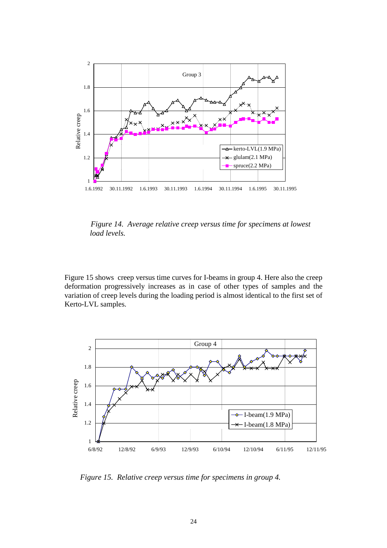

 *Figure 14. Average relative creep versus time for specimens at lowest load levels.*

Figure 15 shows creep versus time curves for I-beams in group 4. Here also the creep deformation progressively increases as in case of other types of samples and the variation of creep levels during the loading period is almost identical to the first set of Kerto-LVL samples.



*Figure 15. Relative creep versus time for specimens in group 4.*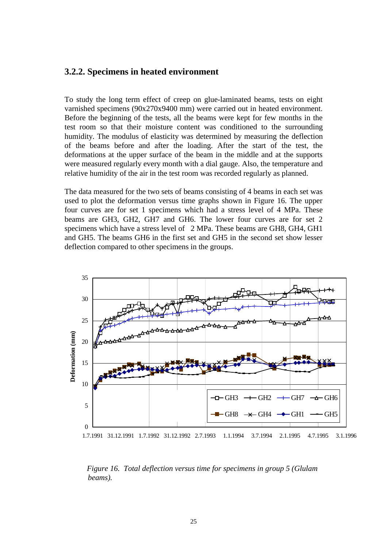#### **3.2.2. Specimens in heated environment**

To study the long term effect of creep on glue-laminated beams, tests on eight varnished specimens (90x270x9400 mm) were carried out in heated environment. Before the beginning of the tests, all the beams were kept for few months in the test room so that their moisture content was conditioned to the surrounding humidity. The modulus of elasticity was determined by measuring the deflection of the beams before and after the loading. After the start of the test, the deformations at the upper surface of the beam in the middle and at the supports were measured regularly every month with a dial gauge. Also, the temperature and relative humidity of the air in the test room was recorded regularly as planned.

The data measured for the two sets of beams consisting of 4 beams in each set was used to plot the deformation versus time graphs shown in Figure 16. The upper four curves are for set 1 specimens which had a stress level of 4 MPa. These beams are GH3, GH2, GH7 and GH6. The lower four curves are for set 2 specimens which have a stress level of 2 MPa. These beams are GH8, GH4, GH1 and GH5. The beams GH6 in the first set and GH5 in the second set show lesser deflection compared to other specimens in the groups.



 *Figure 16. Total deflection versus time for specimens in group 5 (Glulam beams).*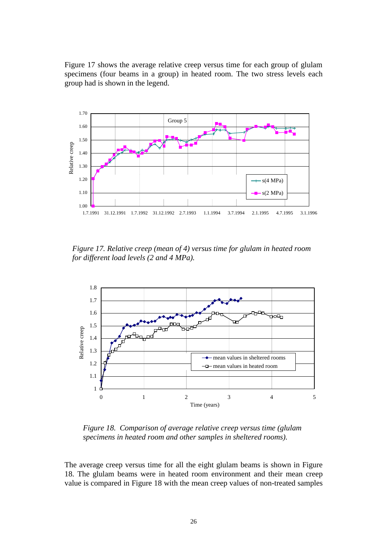Figure 17 shows the average relative creep versus time for each group of glulam specimens (four beams in a group) in heated room. The two stress levels each group had is shown in the legend.



 *Figure 17. Relative creep (mean of 4) versus time for glulam in heated room for different load levels (2 and 4 MPa).*



*Figure 18. Comparison of average relative creep versus time (glulam specimens in heated room and other samples in sheltered rooms).*

The average creep versus time for all the eight glulam beams is shown in Figure 18. The glulam beams were in heated room environment and their mean creep value is compared in Figure 18 with the mean creep values of non-treated samples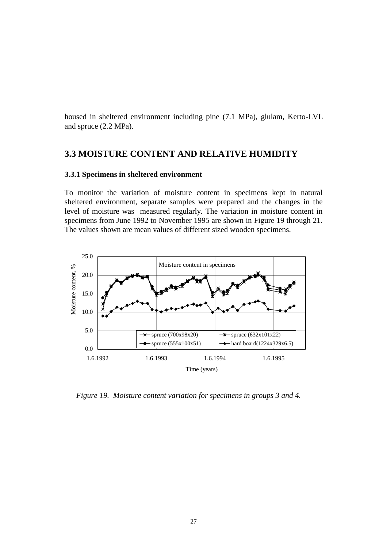housed in sheltered environment including pine (7.1 MPa), glulam, Kerto-LVL and spruce (2.2 MPa).

#### **3.3 MOISTURE CONTENT AND RELATIVE HUMIDITY**

#### **3.3.1 Specimens in sheltered environment**

To monitor the variation of moisture content in specimens kept in natural sheltered environment, separate samples were prepared and the changes in the level of moisture was measured regularly. The variation in moisture content in specimens from June 1992 to November 1995 are shown in Figure 19 through 21. The values shown are mean values of different sized wooden specimens.



*Figure 19. Moisture content variation for specimens in groups 3 and 4.*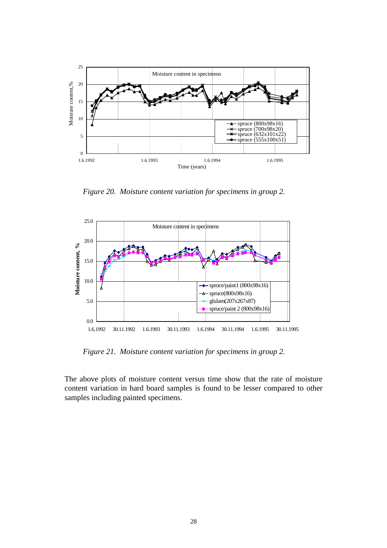

*Figure 20. Moisture content variation for specimens in group 2.*



*Figure 21. Moisture content variation for specimens in group 2.*

The above plots of moisture content versus time show that the rate of moisture content variation in hard board samples is found to be lesser compared to other samples including painted specimens.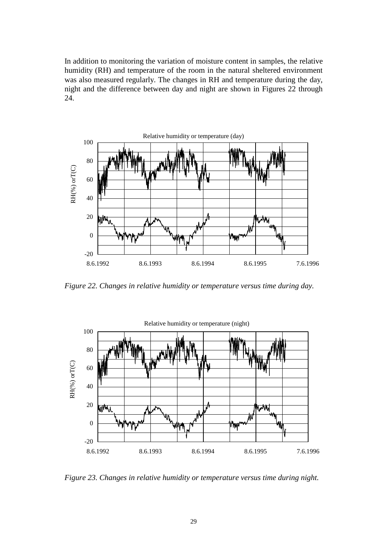In addition to monitoring the variation of moisture content in samples, the relative humidity (RH) and temperature of the room in the natural sheltered environment was also measured regularly. The changes in RH and temperature during the day, night and the difference between day and night are shown in Figures 22 through 24.



*Figure 22. Changes in relative humidity or temperature versus time during day.*



*Figure 23. Changes in relative humidity or temperature versus time during night.*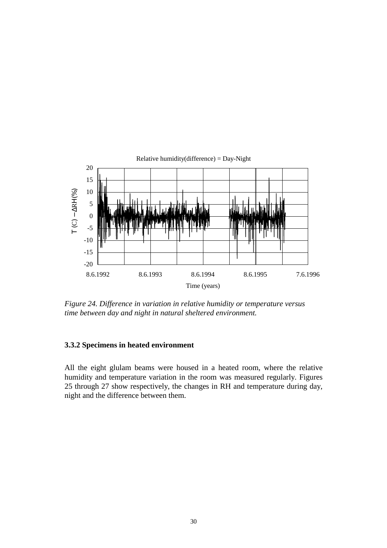

*Figure 24. Difference in variation in relative humidity or temperature versus time between day and night in natural sheltered environment.*

#### **3.3.2 Specimens in heated environment**

All the eight glulam beams were housed in a heated room, where the relative humidity and temperature variation in the room was measured regularly. Figures 25 through 27 show respectively, the changes in RH and temperature during day, night and the difference between them.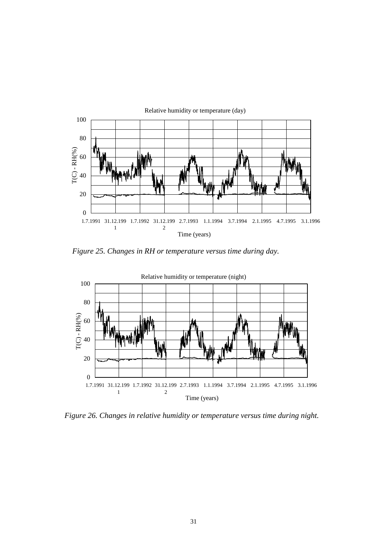

*Figure 25. Changes in RH or temperature versus time during day.*



*Figure 26. Changes in relative humidity or temperature versus time during night.*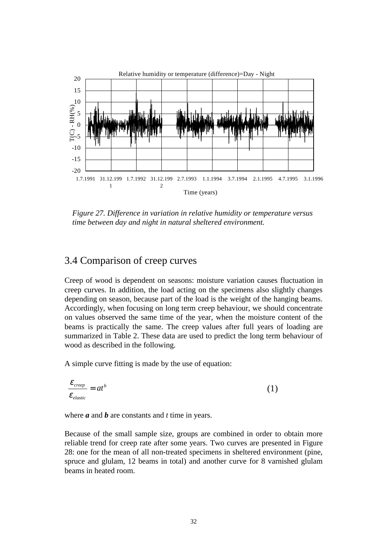

 *Figure 27. Difference in variation in relative humidity or temperature versus time between day and night in natural sheltered environment.*

### 3.4 Comparison of creep curves

Creep of wood is dependent on seasons: moisture variation causes fluctuation in creep curves. In addition, the load acting on the specimens also slightly changes depending on season, because part of the load is the weight of the hanging beams. Accordingly, when focusing on long term creep behaviour, we should concentrate on values observed the same time of the year, when the moisture content of the beams is practically the same. The creep values after full years of loading are summarized in Table 2. These data are used to predict the long term behaviour of wood as described in the following.

A simple curve fitting is made by the use of equation:

$$
\frac{\varepsilon_{\text{creep}}}{\varepsilon_{\text{elastic}}}=at^b\tag{1}
$$

where *a* and *b* are constants and *t* time in years.

Because of the small sample size, groups are combined in order to obtain more reliable trend for creep rate after some years. Two curves are presented in Figure 28: one for the mean of all non-treated specimens in sheltered environment (pine, spruce and glulam, 12 beams in total) and another curve for 8 varnished glulam beams in heated room.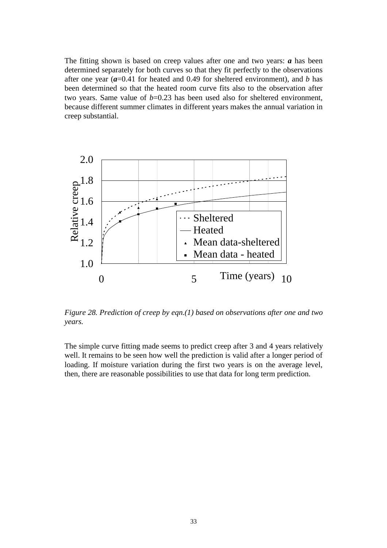The fitting shown is based on creep values after one and two years: *a* has been determined separately for both curves so that they fit perfectly to the observations after one year (*a*=0.41 for heated and 0.49 for sheltered environment), and *b* has been determined so that the heated room curve fits also to the observation after two years. Same value of  $b=0.23$  has been used also for sheltered environment, because different summer climates in different years makes the annual variation in creep substantial.



*Figure 28. Prediction of creep by eqn.(1) based on observations after one and two years.*

The simple curve fitting made seems to predict creep after 3 and 4 years relatively well. It remains to be seen how well the prediction is valid after a longer period of loading. If moisture variation during the first two years is on the average level, then, there are reasonable possibilities to use that data for long term prediction.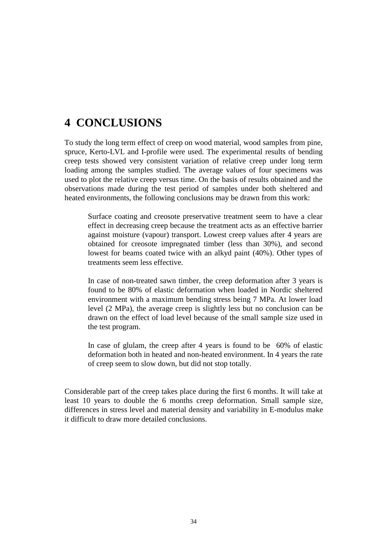## **4 CONCLUSIONS**

To study the long term effect of creep on wood material, wood samples from pine, spruce, Kerto-LVL and I-profile were used. The experimental results of bending creep tests showed very consistent variation of relative creep under long term loading among the samples studied. The average values of four specimens was used to plot the relative creep versus time. On the basis of results obtained and the observations made during the test period of samples under both sheltered and heated environments, the following conclusions may be drawn from this work:

Surface coating and creosote preservative treatment seem to have a clear effect in decreasing creep because the treatment acts as an effective barrier against moisture (vapour) transport. Lowest creep values after 4 years are obtained for creosote impregnated timber (less than 30%), and second lowest for beams coated twice with an alkyd paint (40%). Other types of treatments seem less effective.

In case of non-treated sawn timber, the creep deformation after 3 years is found to be 80% of elastic deformation when loaded in Nordic sheltered environment with a maximum bending stress being 7 MPa. At lower load level (2 MPa), the average creep is slightly less but no conclusion can be drawn on the effect of load level because of the small sample size used in the test program.

In case of glulam, the creep after 4 years is found to be 60% of elastic deformation both in heated and non-heated environment. In 4 years the rate of creep seem to slow down, but did not stop totally.

Considerable part of the creep takes place during the first 6 months. It will take at least 10 years to double the 6 months creep deformation. Small sample size, differences in stress level and material density and variability in E-modulus make it difficult to draw more detailed conclusions.